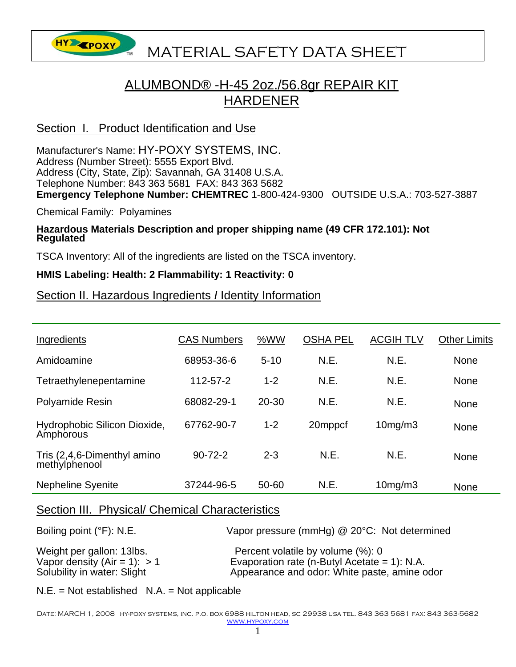**HY EPOXY** MATERIAL SAFETY DATA SHEET

# ALUMBOND® -H-45 2oz./56.8gr REPAIR KIT HARDENER

## Section I. Product Identification and Use

Manufacturer's Name: HY-POXY SYSTEMS, INC. Address (Number Street): 5555 Export Blvd. Address (City, State, Zip): Savannah, GA 31408 U.S.A. Telephone Number: 843 363 5681 FAX: 843 363 5682 **Emergency Telephone Number: CHEMTREC** 1-800-424-9300 OUTSIDE U.S.A.: 703-527-3887

Chemical Family: Polyamines

# **Hazardous Materials Description and proper shipping name (49 CFR 172.101): Not Regulated**

TSCA Inventory: All of the ingredients are listed on the TSCA inventory.

#### **HMIS Labeling: Health: 2 Flammability: 1 Reactivity: 0**

### Section II. Hazardous Ingredients *I* Identity Information

| Ingredients                                  | <b>CAS Numbers</b> | %WW       | <b>OSHA PEL</b> | <b>ACGIH TLV</b> | <b>Other Limits</b> |
|----------------------------------------------|--------------------|-----------|-----------------|------------------|---------------------|
| Amidoamine                                   | 68953-36-6         | $5 - 10$  | N.E.            | N.E.             | <b>None</b>         |
| Tetraethylenepentamine                       | 112-57-2           | $1 - 2$   | N.E.            | N.E.             | <b>None</b>         |
| <b>Polyamide Resin</b>                       | 68082-29-1         | $20 - 30$ | N.E.            | N.E.             | <b>None</b>         |
| Hydrophobic Silicon Dioxide,<br>Amphorous    | 67762-90-7         | $1 - 2$   | 20mppcf         | 10mg/m3          | <b>None</b>         |
| Tris (2,4,6-Dimenthyl amino<br>methylphenool | $90 - 72 - 2$      | $2 - 3$   | N.E.            | N.E.             | <b>None</b>         |
| <b>Nepheline Syenite</b>                     | 37244-96-5         | 50-60     | N.E.            | 10mg/m3          | <b>None</b>         |

#### Section III. Physical/ Chemical Characteristics

| Boiling point $(°F)$ : N.E.    | Vapor pressure (mmHg) @ 20°C: Not determined    |
|--------------------------------|-------------------------------------------------|
| Weight per gallon: 13lbs.      | Percent volatile by volume (%): 0               |
| Vapor density (Air = 1): $> 1$ | Evaporation rate (n-Butyl Acetate = $1$ ): N.A. |
| Solubility in water: Slight    | Appearance and odor: White paste, amine odor    |

 $N.E. = Not established N.A. = Not applicable$ 

Date: MARCH 1, 2008 hy-poxy systems, inc. p.o. box 6988 hilton head, sc 29938 usa tel. 843 363 5681 fax: 843 363-5682 www.hypoxy.com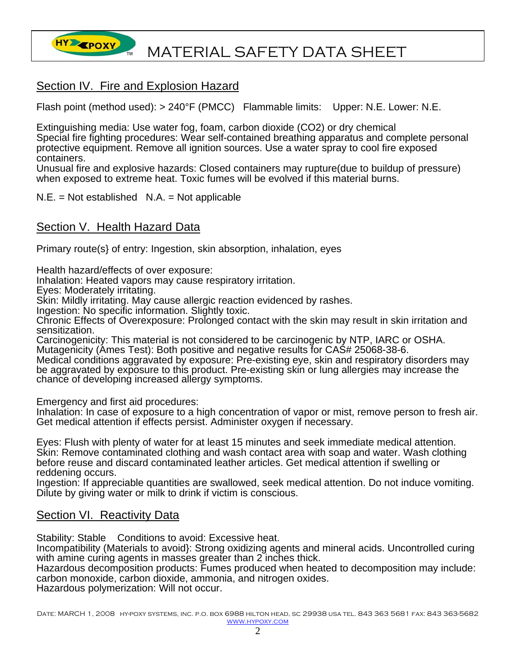

## Section IV. Fire and Explosion Hazard

Flash point (method used): > 240°F (PMCC) Flammable limits: Upper: N.E. Lower: N.E.

Extinguishing media: Use water fog, foam, carbon dioxide (CO2) or dry chemical Special fire fighting procedures: Wear self-contained breathing apparatus and complete personal protective equipment. Remove all ignition sources. Use a water spray to cool fire exposed containers.

Unusual fire and explosive hazards: Closed containers may rupture(due to buildup of pressure) when exposed to extreme heat. Toxic fumes will be evolved if this material burns.

 $N.E. = Not established N.A. = Not applicable$ 

## Section V. Health Hazard Data

Primary route(s} of entry: Ingestion, skin absorption, inhalation, eyes

Health hazard/effects of over exposure:

Inhalation: Heated vapors may cause respiratory irritation.

Eyes: Moderately irritating.

Skin: Mildly irritating. May cause allergic reaction evidenced by rashes.

Ingestion: No specific information. Slightly toxic.

Chronic Effects of Overexposure: Prolonged contact with the skin may result in skin irritation and sensitization.

Carcinogenicity: This material is not considered to be carcinogenic by NTP, IARC or OSHA. Mutagenicity (Ames Test): Both positive and negative results for CAS# 25068-38-6.

Medical conditions aggravated by exposure: Pre-existing eye, skin and respiratory disorders may be aggravated by exposure to this product. Pre-existing skin or lung allergies may increase the chance of developing increased allergy symptoms.

Emergency and first aid procedures:

Inhalation: In case of exposure to a high concentration of vapor or mist, remove person to fresh air. Get medical attention if effects persist. Administer oxygen if necessary.

Eyes: Flush with plenty of water for at least 15 minutes and seek immediate medical attention. Skin: Remove contaminated clothing and wash contact area with soap and water. Wash clothing before reuse and discard contaminated leather articles. Get medical attention if swelling or reddening occurs.

Ingestion: If appreciable quantities are swallowed, seek medical attention. Do not induce vomiting. Dilute by giving water or milk to drink if victim is conscious.

## Section VI. Reactivity Data

Stability: Stable Conditions to avoid: Excessive heat.

Incompatibility (Materials to avoid}: Strong oxidizing agents and mineral acids. Uncontrolled curing with amine curing agents in masses greater than 2 inches thick.

Hazardous decomposition products: Fumes produced when heated to decomposition may include: carbon monoxide, carbon dioxide, ammonia, and nitrogen oxides.

Hazardous polymerization: Will not occur.